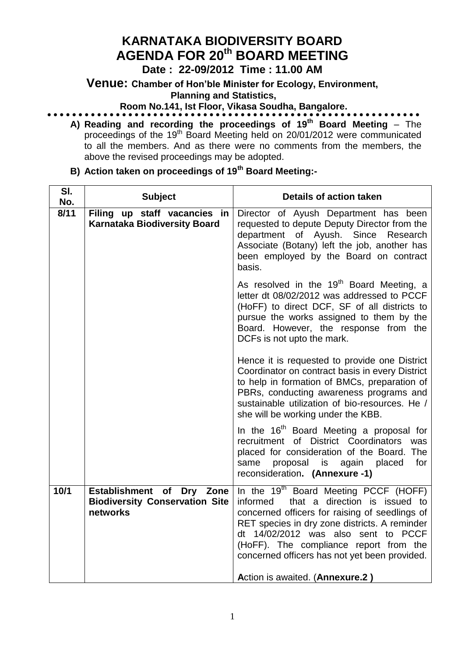# **KARNATAKA BIODIVERSITY BOARD AGENDA FOR 20th BOARD MEETING**

### **Date : 22-09/2012 Time : 11.00 AM**

**Venue: Chamber of Hon'ble Minister for Ecology, Environment,** 

 **Planning and Statistics,** 

**Room No.141, Ist Floor, Vikasa Soudha, Bangalore.**

**A) Reading and recording the proceedings of 19 th Board Meeting** – The proceedings of the 19<sup>th</sup> Board Meeting held on 20/01/2012 were communicated to all the members. And as there were no comments from the members, the above the revised proceedings may be adopted.

| SI.<br>No. | <b>Subject</b>                                                                 | <b>Details of action taken</b>                                                                                                                                                                                                                                                                                                                                         |  |
|------------|--------------------------------------------------------------------------------|------------------------------------------------------------------------------------------------------------------------------------------------------------------------------------------------------------------------------------------------------------------------------------------------------------------------------------------------------------------------|--|
| 8/11       | Filing up staff vacancies in<br><b>Karnataka Biodiversity Board</b>            | Director of Ayush Department has been<br>requested to depute Deputy Director from the<br>department of Ayush. Since Research<br>Associate (Botany) left the job, another has<br>been employed by the Board on contract<br>basis.                                                                                                                                       |  |
|            |                                                                                | As resolved in the 19 <sup>th</sup> Board Meeting, a<br>letter dt 08/02/2012 was addressed to PCCF<br>(HoFF) to direct DCF, SF of all districts to<br>pursue the works assigned to them by the<br>Board. However, the response from the<br>DCFs is not upto the mark.                                                                                                  |  |
|            |                                                                                | Hence it is requested to provide one District<br>Coordinator on contract basis in every District<br>to help in formation of BMCs, preparation of<br>PBRs, conducting awareness programs and<br>sustainable utilization of bio-resources. He /<br>she will be working under the KBB.                                                                                    |  |
|            |                                                                                | In the 16 <sup>th</sup> Board Meeting a proposal for<br>recruitment of District Coordinators<br>was<br>placed for consideration of the Board. The<br>proposal<br>for<br>is<br>again<br>placed<br>same<br>reconsideration. (Annexure -1)                                                                                                                                |  |
| $10/1$     | Establishment of Dry Zone<br><b>Biodiversity Conservation Site</b><br>networks | In the 19 <sup>th</sup> Board Meeting PCCF (HOFF)<br>that a direction is issued to<br>informed<br>concerned officers for raising of seedlings of<br>RET species in dry zone districts. A reminder<br>dt 14/02/2012 was also sent to PCCF<br>(HoFF). The compliance report from the<br>concerned officers has not yet been provided.<br>Action is awaited. (Annexure.2) |  |

**B) Action taken on proceedings of 19th Board Meeting:-**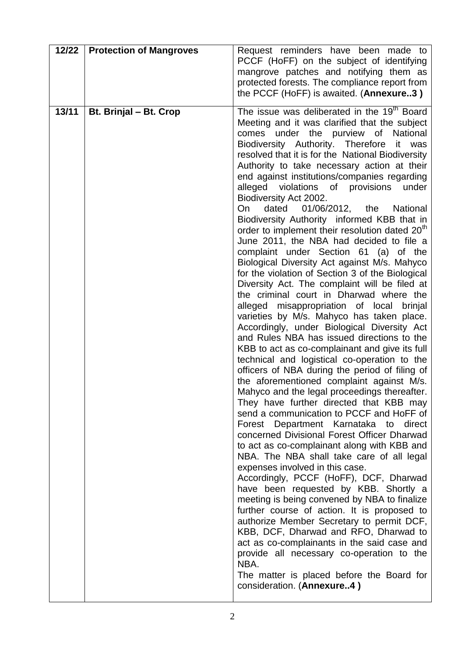| 12/22 | <b>Protection of Mangroves</b> | Request reminders have been made to<br>PCCF (HoFF) on the subject of identifying<br>mangrove patches and notifying them as<br>protected forests. The compliance report from<br>the PCCF (HoFF) is awaited. (Annexure3)                                                                                                                                                                                                                                                                                                                                                                                                                                                                                                                                                                                                                                                                                                                                                                                                                                                                                                                                                                                                                                                                                                                                                                                                                                                                                                                                                                                                                                                                                                                                                                                                                                                                                                                                                                                                                                                                       |
|-------|--------------------------------|----------------------------------------------------------------------------------------------------------------------------------------------------------------------------------------------------------------------------------------------------------------------------------------------------------------------------------------------------------------------------------------------------------------------------------------------------------------------------------------------------------------------------------------------------------------------------------------------------------------------------------------------------------------------------------------------------------------------------------------------------------------------------------------------------------------------------------------------------------------------------------------------------------------------------------------------------------------------------------------------------------------------------------------------------------------------------------------------------------------------------------------------------------------------------------------------------------------------------------------------------------------------------------------------------------------------------------------------------------------------------------------------------------------------------------------------------------------------------------------------------------------------------------------------------------------------------------------------------------------------------------------------------------------------------------------------------------------------------------------------------------------------------------------------------------------------------------------------------------------------------------------------------------------------------------------------------------------------------------------------------------------------------------------------------------------------------------------------|
| 13/11 | Bt. Brinjal - Bt. Crop         | The issue was deliberated in the 19 <sup>th</sup> Board<br>Meeting and it was clarified that the subject<br>comes under the purview of<br>National<br>Biodiversity Authority. Therefore it<br>was<br>resolved that it is for the National Biodiversity<br>Authority to take necessary action at their<br>end against institutions/companies regarding<br>alleged violations of provisions<br>under<br>Biodiversity Act 2002.<br>dated<br>01/06/2012, the<br>National<br>On<br>Biodiversity Authority informed KBB that in<br>order to implement their resolution dated 20 <sup>th</sup><br>June 2011, the NBA had decided to file a<br>complaint under Section 61 (a) of the<br>Biological Diversity Act against M/s. Mahyco<br>for the violation of Section 3 of the Biological<br>Diversity Act. The complaint will be filed at<br>the criminal court in Dharwad where the<br>alleged misappropriation of local<br>brinjal<br>varieties by M/s. Mahyco has taken place.<br>Accordingly, under Biological Diversity Act<br>and Rules NBA has issued directions to the<br>KBB to act as co-complainant and give its full<br>technical and logistical co-operation to the<br>officers of NBA during the period of filing of<br>the aforementioned complaint against M/s.<br>Mahyco and the legal proceedings thereafter.<br>They have further directed that KBB may<br>send a communication to PCCF and HoFF of<br>Forest Department Karnataka to direct<br>concerned Divisional Forest Officer Dharwad<br>to act as co-complainant along with KBB and<br>NBA. The NBA shall take care of all legal<br>expenses involved in this case.<br>Accordingly, PCCF (HoFF), DCF, Dharwad<br>have been requested by KBB. Shortly a<br>meeting is being convened by NBA to finalize<br>further course of action. It is proposed to<br>authorize Member Secretary to permit DCF,<br>KBB, DCF, Dharwad and RFO, Dharwad to<br>act as co-complainants in the said case and<br>provide all necessary co-operation to the<br>NBA.<br>The matter is placed before the Board for<br>consideration. (Annexure4) |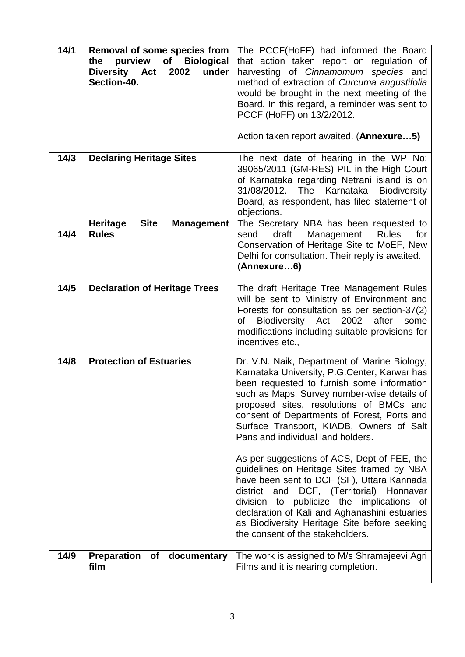| 14/1 | Removal of some species from<br>purview<br>of<br><b>Biological</b><br>the<br>Diversity Act<br>under<br>2002<br>Section-40. | The PCCF(HoFF) had informed the Board<br>that action taken report on regulation of<br>harvesting of Cinnamomum species and<br>method of extraction of Curcuma angustifolia<br>would be brought in the next meeting of the<br>Board. In this regard, a reminder was sent to<br>PCCF (HoFF) on 13/2/2012.<br>Action taken report awaited. (Annexure5)                                                                 |
|------|----------------------------------------------------------------------------------------------------------------------------|---------------------------------------------------------------------------------------------------------------------------------------------------------------------------------------------------------------------------------------------------------------------------------------------------------------------------------------------------------------------------------------------------------------------|
| 14/3 | <b>Declaring Heritage Sites</b>                                                                                            | The next date of hearing in the WP No:<br>39065/2011 (GM-RES) PIL in the High Court<br>of Karnataka regarding Netrani island is on<br>31/08/2012. The Karnataka<br><b>Biodiversity</b><br>Board, as respondent, has filed statement of<br>objections.                                                                                                                                                               |
| 14/4 | <b>Site</b><br>Heritage<br><b>Management</b><br><b>Rules</b>                                                               | The Secretary NBA has been requested to<br>draft<br>Management<br><b>Rules</b><br>send<br>for<br>Conservation of Heritage Site to MoEF, New<br>Delhi for consultation. Their reply is awaited.<br>(Annexure6)                                                                                                                                                                                                       |
| 14/5 | <b>Declaration of Heritage Trees</b>                                                                                       | The draft Heritage Tree Management Rules<br>will be sent to Ministry of Environment and<br>Forests for consultation as per section-37(2)<br>2002<br>Biodiversity Act<br>after<br>of<br>some<br>modifications including suitable provisions for<br>incentives etc.,                                                                                                                                                  |
| 14/8 | <b>Protection of Estuaries</b>                                                                                             | Dr. V.N. Naik, Department of Marine Biology,<br>Karnataka University, P.G.Center, Karwar has<br>been requested to furnish some information<br>such as Maps, Survey number-wise details of<br>proposed sites, resolutions of BMCs and<br>consent of Departments of Forest, Ports and<br>Surface Transport, KIADB, Owners of Salt<br>Pans and individual land holders.<br>As per suggestions of ACS, Dept of FEE, the |
|      |                                                                                                                            | guidelines on Heritage Sites framed by NBA<br>have been sent to DCF (SF), Uttara Kannada<br>district and DCF, (Territorial) Honnavar<br>division to publicize the implications of<br>declaration of Kali and Aghanashini estuaries<br>as Biodiversity Heritage Site before seeking<br>the consent of the stakeholders.                                                                                              |
| 14/9 | Preparation<br>of documentary<br>film                                                                                      | The work is assigned to M/s Shramajeevi Agri<br>Films and it is nearing completion.                                                                                                                                                                                                                                                                                                                                 |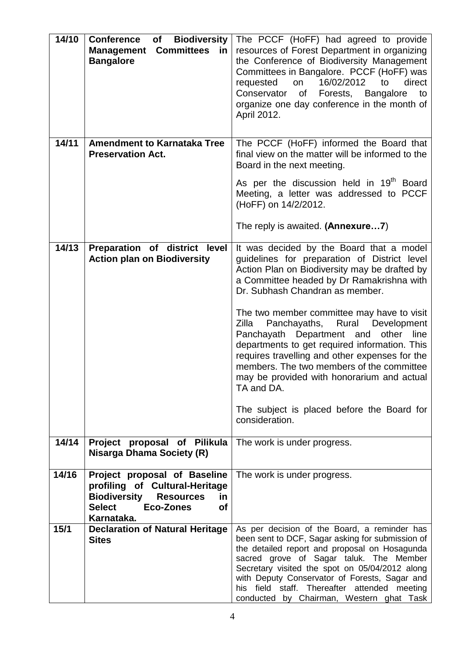| 14/10 | <b>Biodiversity</b><br><b>Conference</b><br>of<br><b>Committees</b><br><b>Management</b><br>in<br><b>Bangalore</b>                                                                     | The PCCF (HoFF) had agreed to provide<br>resources of Forest Department in organizing<br>the Conference of Biodiversity Management<br>Committees in Bangalore. PCCF (HoFF) was<br>16/02/2012<br>to<br>direct<br>requested<br>on<br>Conservator<br>Forests, Bangalore<br>of<br>to<br>organize one day conference in the month of<br>April 2012.                                              |
|-------|----------------------------------------------------------------------------------------------------------------------------------------------------------------------------------------|---------------------------------------------------------------------------------------------------------------------------------------------------------------------------------------------------------------------------------------------------------------------------------------------------------------------------------------------------------------------------------------------|
| 14/11 | <b>Amendment to Karnataka Tree</b><br><b>Preservation Act.</b>                                                                                                                         | The PCCF (HoFF) informed the Board that<br>final view on the matter will be informed to the<br>Board in the next meeting.                                                                                                                                                                                                                                                                   |
|       |                                                                                                                                                                                        | As per the discussion held in 19 <sup>th</sup> Board<br>Meeting, a letter was addressed to PCCF<br>(HoFF) on 14/2/2012.                                                                                                                                                                                                                                                                     |
|       |                                                                                                                                                                                        | The reply is awaited. (Annexure7)                                                                                                                                                                                                                                                                                                                                                           |
| 14/13 | Preparation of district level<br><b>Action plan on Biodiversity</b>                                                                                                                    | It was decided by the Board that a model<br>guidelines for preparation of District level<br>Action Plan on Biodiversity may be drafted by<br>a Committee headed by Dr Ramakrishna with<br>Dr. Subhash Chandran as member.                                                                                                                                                                   |
|       |                                                                                                                                                                                        | The two member committee may have to visit<br>Zilla<br>Panchayaths,<br>Rural<br>Development<br>Panchayath Department and<br>other line<br>departments to get required information. This<br>requires travelling and other expenses for the<br>members. The two members of the committee<br>may be provided with honorarium and actual<br>TA and DA.                                          |
|       |                                                                                                                                                                                        | The subject is placed before the Board for<br>consideration.                                                                                                                                                                                                                                                                                                                                |
| 14/14 | Project proposal of Pilikula<br><b>Nisarga Dhama Society (R)</b>                                                                                                                       | The work is under progress.                                                                                                                                                                                                                                                                                                                                                                 |
| 14/16 | Project proposal of Baseline<br>profiling of Cultural-Heritage<br><b>Biodiversity</b><br><b>Resources</b><br><u>in</u><br><b>Select</b><br><b>Eco-Zones</b><br><b>of</b><br>Karnataka. | The work is under progress.                                                                                                                                                                                                                                                                                                                                                                 |
| 15/1  | <b>Declaration of Natural Heritage</b><br><b>Sites</b>                                                                                                                                 | As per decision of the Board, a reminder has<br>been sent to DCF, Sagar asking for submission of<br>the detailed report and proposal on Hosagunda<br>sacred grove of Sagar taluk. The Member<br>Secretary visited the spot on 05/04/2012 along<br>with Deputy Conservator of Forests, Sagar and<br>his field staff. Thereafter attended meeting<br>conducted by Chairman, Western ghat Task |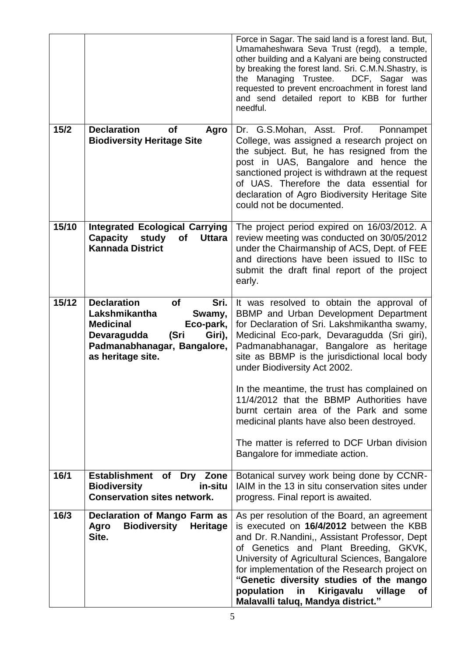|       |                                                                                                                                                                                          | Force in Sagar. The said land is a forest land. But,<br>Umamaheshwara Seva Trust (regd), a temple,<br>other building and a Kalyani are being constructed<br>by breaking the forest land. Sri. C.M.N.Shastry, is<br>Managing Trustee.<br>DCF, Sagar was<br>the<br>requested to prevent encroachment in forest land<br>and send detailed report to KBB for further<br>needful.                                               |
|-------|------------------------------------------------------------------------------------------------------------------------------------------------------------------------------------------|----------------------------------------------------------------------------------------------------------------------------------------------------------------------------------------------------------------------------------------------------------------------------------------------------------------------------------------------------------------------------------------------------------------------------|
| 15/2  | <b>Declaration</b><br><b>of</b><br>Agro<br><b>Biodiversity Heritage Site</b>                                                                                                             | Dr. G.S.Mohan, Asst. Prof. Ponnampet<br>College, was assigned a research project on<br>the subject. But, he has resigned from the<br>post in UAS, Bangalore and hence the<br>sanctioned project is withdrawn at the request<br>of UAS. Therefore the data essential for<br>declaration of Agro Biodiversity Heritage Site<br>could not be documented.                                                                      |
| 15/10 | <b>Integrated Ecological Carrying</b><br>Capacity<br>study<br>of<br><b>Uttara</b><br><b>Kannada District</b>                                                                             | The project period expired on 16/03/2012. A<br>review meeting was conducted on 30/05/2012<br>under the Chairmanship of ACS, Dept. of FEE<br>and directions have been issued to IISc to<br>submit the draft final report of the project<br>early.                                                                                                                                                                           |
| 15/12 | <b>Declaration</b><br><b>of</b><br>Sri.<br>Lakshmikantha<br>Swamy,<br><b>Medicinal</b><br>Eco-park,<br>(Sri<br>Giri),<br>Devaragudda<br>Padmanabhanagar, Bangalore,<br>as heritage site. | It was resolved to obtain the approval of<br>BBMP and Urban Development Department<br>for Declaration of Sri. Lakshmikantha swamy,<br>Medicinal Eco-park, Devaragudda (Sri giri),<br>Padmanabhanagar, Bangalore as heritage<br>site as BBMP is the jurisdictional local body<br>under Biodiversity Act 2002.                                                                                                               |
|       |                                                                                                                                                                                          | In the meantime, the trust has complained on<br>11/4/2012 that the BBMP Authorities have<br>burnt certain area of the Park and some<br>medicinal plants have also been destroyed.                                                                                                                                                                                                                                          |
|       |                                                                                                                                                                                          | The matter is referred to DCF Urban division<br>Bangalore for immediate action.                                                                                                                                                                                                                                                                                                                                            |
| 16/1  | Establishment of<br>Dry Zone<br><b>Biodiversity</b><br>in-situ<br><b>Conservation sites network.</b>                                                                                     | Botanical survey work being done by CCNR-<br>IAIM in the 13 in situ conservation sites under<br>progress. Final report is awaited.                                                                                                                                                                                                                                                                                         |
| 16/3  | <b>Declaration of Mango Farm as</b><br><b>Biodiversity</b><br>Heritage<br>Agro<br>Site.                                                                                                  | As per resolution of the Board, an agreement<br>is executed on 16/4/2012 between the KBB<br>and Dr. R. Nandini,, Assistant Professor, Dept<br>of Genetics and Plant Breeding, GKVK,<br>University of Agricultural Sciences, Bangalore<br>for implementation of the Research project on<br>"Genetic diversity studies of the mango<br>population<br>Kirigavalu<br>village<br>in<br>Οf<br>Malavalli taluq, Mandya district." |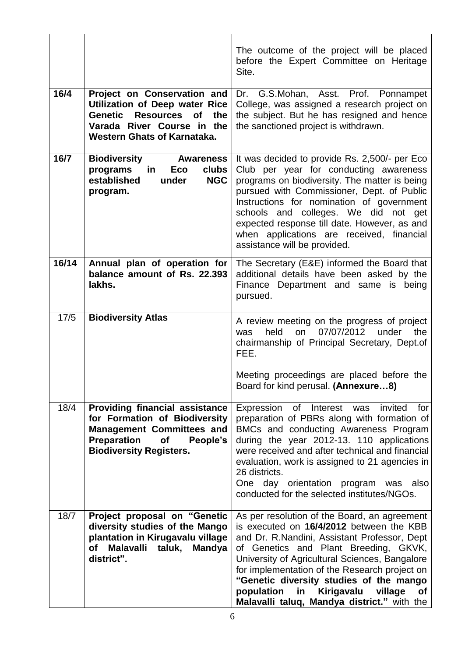|       |                                                                                                                                                                                             | The outcome of the project will be placed<br>before the Expert Committee on Heritage<br>Site.                                                                                                                                                                                                                                                                                                                                            |
|-------|---------------------------------------------------------------------------------------------------------------------------------------------------------------------------------------------|------------------------------------------------------------------------------------------------------------------------------------------------------------------------------------------------------------------------------------------------------------------------------------------------------------------------------------------------------------------------------------------------------------------------------------------|
| 16/4  | Project on Conservation and<br><b>Utilization of Deep water Rice</b><br>Genetic<br><b>Resources</b><br>the<br><b>of</b><br>Varada River Course in the<br><b>Western Ghats of Karnataka.</b> | Dr. G.S.Mohan, Asst. Prof. Ponnampet<br>College, was assigned a research project on<br>the subject. But he has resigned and hence<br>the sanctioned project is withdrawn.                                                                                                                                                                                                                                                                |
| 16/7  | <b>Biodiversity</b><br><b>Awareness</b><br>programs<br>in.<br>Eco<br>clubs<br>established<br><b>NGC</b><br>under<br>program.                                                                | It was decided to provide Rs. 2,500/- per Eco<br>Club per year for conducting awareness<br>programs on biodiversity. The matter is being<br>pursued with Commissioner, Dept. of Public<br>Instructions for nomination of government<br>schools and colleges. We did not get<br>expected response till date. However, as and<br>when applications are received, financial<br>assistance will be provided.                                 |
| 16/14 | Annual plan of operation for<br>balance amount of Rs. 22.393<br>lakhs.                                                                                                                      | The Secretary (E&E) informed the Board that<br>additional details have been asked by the<br>Finance Department and same is being<br>pursued.                                                                                                                                                                                                                                                                                             |
| 17/5  | <b>Biodiversity Atlas</b>                                                                                                                                                                   | A review meeting on the progress of project<br>07/07/2012<br>held<br>on<br>under<br>the<br>was<br>chairmanship of Principal Secretary, Dept.of<br>FEE.<br>Meeting proceedings are placed before the<br>Board for kind perusal. (Annexure8)                                                                                                                                                                                               |
| 18/4  | <b>Providing financial assistance</b><br>for Formation of Biodiversity<br><b>Management Committees and</b><br><b>Preparation</b><br><b>of</b><br>People's<br><b>Biodiversity Registers.</b> | Expression of Interest was invited for<br>preparation of PBRs along with formation of<br>BMCs and conducting Awareness Program<br>during the year 2012-13. 110 applications<br>were received and after technical and financial<br>evaluation, work is assigned to 21 agencies in<br>26 districts.<br>One day orientation program was also<br>conducted for the selected institutes/NGOs.                                                 |
| 18/7  | Project proposal on "Genetic<br>diversity studies of the Mango<br>plantation in Kirugavalu village<br>Malavalli taluk, Mandya<br>of<br>district".                                           | As per resolution of the Board, an agreement<br>is executed on 16/4/2012 between the KBB<br>and Dr. R.Nandini, Assistant Professor, Dept<br>of Genetics and Plant Breeding, GKVK,<br>University of Agricultural Sciences, Bangalore<br>for implementation of the Research project on<br>"Genetic diversity studies of the mango<br>population<br>Kirigavalu<br>village<br>in<br><b>of</b><br>Malavalli taluq, Mandya district." with the |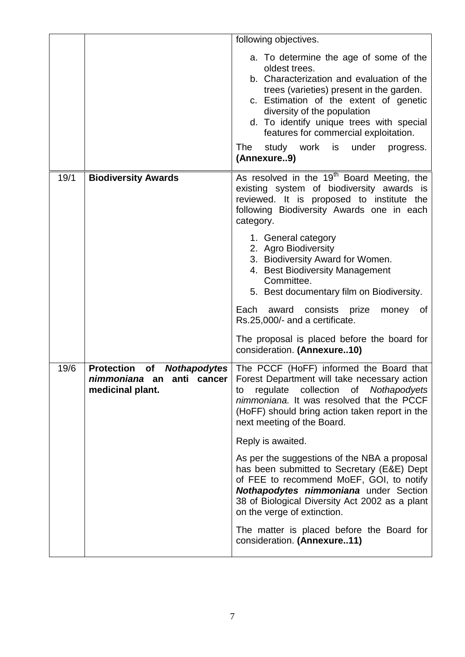|      |                                                                       | following objectives.                                                                                                                                                                                                                                                                                                                                                 |
|------|-----------------------------------------------------------------------|-----------------------------------------------------------------------------------------------------------------------------------------------------------------------------------------------------------------------------------------------------------------------------------------------------------------------------------------------------------------------|
|      |                                                                       | a. To determine the age of some of the<br>oldest trees.<br>b. Characterization and evaluation of the<br>trees (varieties) present in the garden.<br>c. Estimation of the extent of genetic<br>diversity of the population<br>d. To identify unique trees with special<br>features for commercial exploitation.<br>study work is under progress.<br>The<br>(Annexure9) |
| 19/1 | <b>Biodiversity Awards</b>                                            | As resolved in the 19 <sup>th</sup> Board Meeting, the<br>existing system of biodiversity awards is<br>reviewed. It is proposed to institute the<br>following Biodiversity Awards one in each<br>category.                                                                                                                                                            |
|      |                                                                       | 1. General category<br>2. Agro Biodiversity<br>3. Biodiversity Award for Women.<br>4. Best Biodiversity Management<br>Committee.<br>5. Best documentary film on Biodiversity.<br>Each<br>award<br>consists<br>prize<br>money<br>0f                                                                                                                                    |
|      |                                                                       | Rs.25,000/- and a certificate.<br>The proposal is placed before the board for<br>consideration. (Annexure10)                                                                                                                                                                                                                                                          |
| 19/6 | <b>Protection of</b><br>nimmoniana an anti cancer<br>medicinal plant. | <b>Nothapodytes</b>   The PCCF (HoFF) informed the Board that<br>Forest Department will take necessary action<br>regulate collection of Nothapodyets<br>to<br>nimmoniana. It was resolved that the PCCF<br>(HoFF) should bring action taken report in the<br>next meeting of the Board.                                                                               |
|      |                                                                       | Reply is awaited.                                                                                                                                                                                                                                                                                                                                                     |
|      |                                                                       | As per the suggestions of the NBA a proposal<br>has been submitted to Secretary (E&E) Dept<br>of FEE to recommend MoEF, GOI, to notify<br><b>Nothapodytes nimmoniana</b> under Section<br>38 of Biological Diversity Act 2002 as a plant<br>on the verge of extinction.                                                                                               |
|      |                                                                       | The matter is placed before the Board for<br>consideration. (Annexure11)                                                                                                                                                                                                                                                                                              |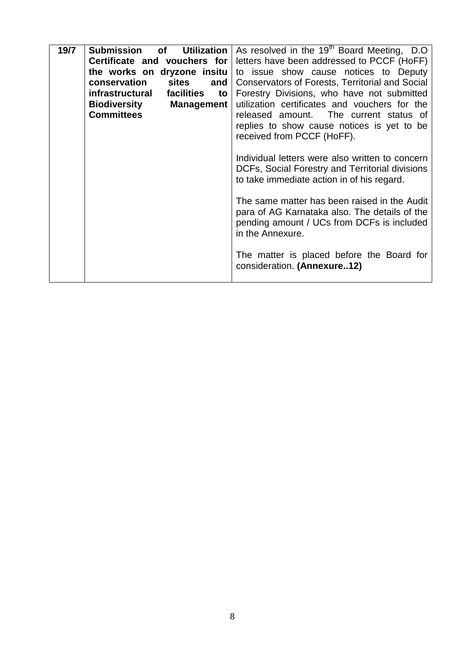| 19/7 | Utilization<br>Submission<br><b>of</b>   | As resolved in the 19 <sup>th</sup> Board Meeting, D.O. |  |
|------|------------------------------------------|---------------------------------------------------------|--|
|      | Certificate and vouchers for             | letters have been addressed to PCCF (HoFF)              |  |
|      | the works on dryzone insitu              | to issue show cause notices to Deputy                   |  |
|      | conservation<br>sites<br>and             | <b>Conservators of Forests, Territorial and Social</b>  |  |
|      | infrastructural<br>facilities<br>to      | Forestry Divisions, who have not submitted              |  |
|      | <b>Biodiversity</b><br><b>Management</b> | utilization certificates and vouchers for the           |  |
|      | <b>Committees</b>                        | released amount. The current status of                  |  |
|      |                                          | replies to show cause notices is yet to be              |  |
|      |                                          | received from PCCF (HoFF).                              |  |
|      |                                          |                                                         |  |
|      |                                          | Individual letters were also written to concern         |  |
|      |                                          | DCFs, Social Forestry and Territorial divisions         |  |
|      |                                          | to take immediate action in of his regard.              |  |
|      |                                          |                                                         |  |
|      |                                          | The same matter has been raised in the Audit            |  |
|      |                                          | para of AG Karnataka also. The details of the           |  |
|      |                                          | pending amount / UCs from DCFs is included              |  |
|      |                                          | in the Annexure.                                        |  |
|      |                                          |                                                         |  |
|      |                                          | The matter is placed before the Board for               |  |
|      |                                          | consideration. (Annexure12)                             |  |
|      |                                          |                                                         |  |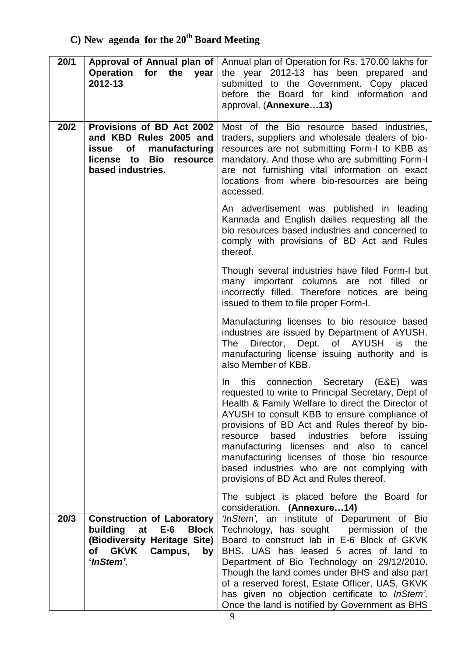| 20/1 | Approval of Annual plan of  <br>Operation for the year<br>2012-13                                                                                     | Annual plan of Operation for Rs. 170.00 lakhs for<br>the year 2012-13 has been prepared and<br>submitted to the Government. Copy placed<br>before the Board for kind information and<br>approval. (Annexure13)                                                                                                                                                                                                                                                                                           |
|------|-------------------------------------------------------------------------------------------------------------------------------------------------------|----------------------------------------------------------------------------------------------------------------------------------------------------------------------------------------------------------------------------------------------------------------------------------------------------------------------------------------------------------------------------------------------------------------------------------------------------------------------------------------------------------|
| 20/2 | Provisions of BD Act 2002<br>and KBD Rules 2005 and<br>of<br>manufacturing<br>issue<br>license to Bio<br>resource<br>based industries.                | Most of the Bio resource based industries,<br>traders, suppliers and wholesale dealers of bio-<br>resources are not submitting Form-I to KBB as<br>mandatory. And those who are submitting Form-I<br>are not furnishing vital information on exact<br>locations from where bio-resources are being<br>accessed.                                                                                                                                                                                          |
|      |                                                                                                                                                       | An advertisement was published in leading<br>Kannada and English dailies requesting all the<br>bio resources based industries and concerned to<br>comply with provisions of BD Act and Rules<br>thereof.                                                                                                                                                                                                                                                                                                 |
|      |                                                                                                                                                       | Though several industries have filed Form-I but<br>many important columns are not filled or<br>incorrectly filled. Therefore notices are being<br>issued to them to file proper Form-I.                                                                                                                                                                                                                                                                                                                  |
|      |                                                                                                                                                       | Manufacturing licenses to bio resource based<br>industries are issued by Department of AYUSH.<br>Director, Dept. of AYUSH<br>the<br>The<br>is<br>manufacturing license issuing authority and is<br>also Member of KBB.                                                                                                                                                                                                                                                                                   |
|      |                                                                                                                                                       | this connection Secretary (E&E)<br>In<br>was<br>requested to write to Principal Secretary, Dept of<br>Health & Family Welfare to direct the Director of<br>AYUSH to consult KBB to ensure compliance of<br>provisions of BD Act and Rules thereof by bio-<br>based<br>industries<br>before<br>resource<br>issuing<br>manufacturing licenses and also to cancel<br>manufacturing licenses of those bio resource<br>based industries who are not complying with<br>provisions of BD Act and Rules thereof. |
|      |                                                                                                                                                       | The subject is placed before the Board for<br>consideration. (Annexure14)                                                                                                                                                                                                                                                                                                                                                                                                                                |
| 20/3 | <b>Construction of Laboratory</b><br>building<br>$E-6$<br><b>Block</b><br>at<br>(Biodiversity Heritage Site)<br>of GKVK<br>Campus,<br>by<br>'InStem'. | 'InStem', an institute of Department of Bio<br>Technology, has sought<br>permission of the<br>Board to construct lab in E-6 Block of GKVK<br>BHS. UAS has leased 5 acres of land to<br>Department of Bio Technology on 29/12/2010.<br>Though the land comes under BHS and also part<br>of a reserved forest, Estate Officer, UAS, GKVK<br>has given no objection certificate to <i>InStem</i> .<br>Once the land is notified by Government as BHS                                                        |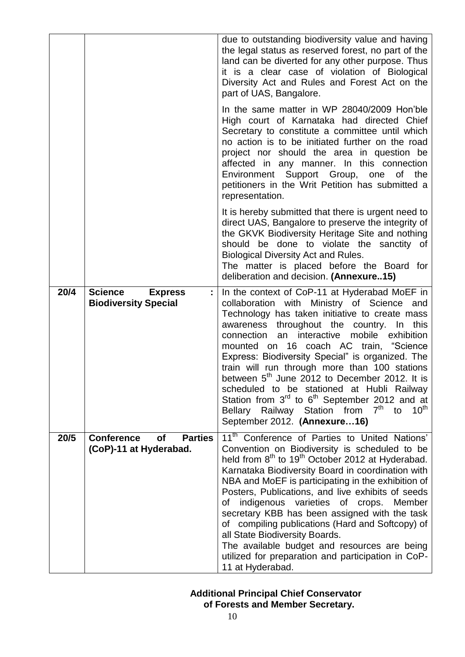|      |                                                                            | due to outstanding biodiversity value and having<br>the legal status as reserved forest, no part of the<br>land can be diverted for any other purpose. Thus<br>it is a clear case of violation of Biological<br>Diversity Act and Rules and Forest Act on the<br>part of UAS, Bangalore.<br>In the same matter in WP 28040/2009 Hon'ble<br>High court of Karnataka had directed Chief<br>Secretary to constitute a committee until which<br>no action is to be initiated further on the road<br>project nor should the area in question be<br>affected in any manner. In this connection<br>Environment Support Group, one<br>Οf<br>the<br>petitioners in the Writ Petition has submitted a<br>representation. |
|------|----------------------------------------------------------------------------|----------------------------------------------------------------------------------------------------------------------------------------------------------------------------------------------------------------------------------------------------------------------------------------------------------------------------------------------------------------------------------------------------------------------------------------------------------------------------------------------------------------------------------------------------------------------------------------------------------------------------------------------------------------------------------------------------------------|
|      |                                                                            | It is hereby submitted that there is urgent need to<br>direct UAS, Bangalore to preserve the integrity of<br>the GKVK Biodiversity Heritage Site and nothing<br>should be done to violate the sanctity of<br><b>Biological Diversity Act and Rules.</b><br>The matter is placed before the Board for<br>deliberation and decision. (Annexure15)                                                                                                                                                                                                                                                                                                                                                                |
| 20/4 | <b>Science</b><br><b>Express</b><br><b>Biodiversity Special</b>            | In the context of CoP-11 at Hyderabad MoEF in<br>collaboration with Ministry of Science<br>and<br>Technology has taken initiative to create mass<br>awareness throughout the country. In<br>this<br>an interactive mobile exhibition<br>connection<br>mounted on 16 coach AC train, "Science<br>Express: Biodiversity Special" is organized. The<br>train will run through more than 100 stations<br>between 5 <sup>th</sup> June 2012 to December 2012. It is<br>scheduled to be stationed at Hubli Railway<br>Station from $3rd$ to $6th$ September 2012 and at<br>Bellary Railway Station from 7 <sup>th</sup> to<br>$10^{\text{th}}$<br>September 2012. (Annexure16)                                       |
| 20/5 | <b>Parties</b><br><b>Conference</b><br><b>of</b><br>(CoP)-11 at Hyderabad. | 11 <sup>th</sup> Conference of Parties to United Nations'<br>Convention on Biodiversity is scheduled to be<br>held from 8 <sup>th</sup> to 19 <sup>th</sup> October 2012 at Hyderabad.<br>Karnataka Biodiversity Board in coordination with<br>NBA and MoEF is participating in the exhibition of<br>Posters, Publications, and live exhibits of seeds<br>indigenous varieties of crops.<br>Member<br>οf<br>secretary KBB has been assigned with the task<br>of compiling publications (Hard and Softcopy) of<br>all State Biodiversity Boards.<br>The available budget and resources are being<br>utilized for preparation and participation in CoP-<br>11 at Hyderabad.                                      |

# **Additional Principal Chief Conservator**

 **of Forests and Member Secretary.**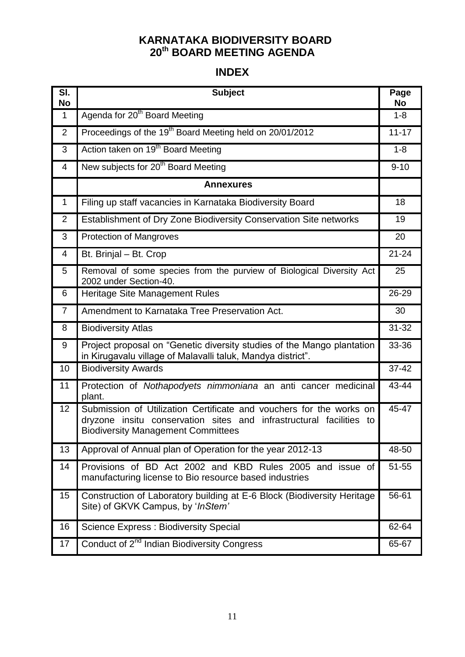### **KARNATAKA BIODIVERSITY BOARD 20th BOARD MEETING AGENDA**

### **INDEX**

| SI.<br><b>No</b> | <b>Subject</b>                                                                                                                                                                          | Page<br>No |
|------------------|-----------------------------------------------------------------------------------------------------------------------------------------------------------------------------------------|------------|
| $\mathbf{1}$     | Agenda for 20 <sup>th</sup> Board Meeting                                                                                                                                               | $1 - 8$    |
| $\overline{2}$   | Proceedings of the 19 <sup>th</sup> Board Meeting held on 20/01/2012                                                                                                                    | $11 - 17$  |
| 3                | Action taken on 19 <sup>th</sup> Board Meeting                                                                                                                                          | $1 - 8$    |
| 4                | New subjects for 20 <sup>th</sup> Board Meeting                                                                                                                                         | $9 - 10$   |
|                  | <b>Annexures</b>                                                                                                                                                                        |            |
| $\mathbf{1}$     | Filing up staff vacancies in Karnataka Biodiversity Board                                                                                                                               | 18         |
| $\overline{2}$   | Establishment of Dry Zone Biodiversity Conservation Site networks                                                                                                                       | 19         |
| 3                | <b>Protection of Mangroves</b>                                                                                                                                                          | 20         |
| 4                | Bt. Brinjal - Bt. Crop                                                                                                                                                                  | $21 - 24$  |
| 5                | Removal of some species from the purview of Biological Diversity Act<br>2002 under Section-40.                                                                                          | 25         |
| 6                | Heritage Site Management Rules                                                                                                                                                          | 26-29      |
| $\overline{7}$   | Amendment to Karnataka Tree Preservation Act.                                                                                                                                           | 30         |
| 8                | <b>Biodiversity Atlas</b>                                                                                                                                                               | $31 - 32$  |
| 9                | Project proposal on "Genetic diversity studies of the Mango plantation<br>in Kirugavalu village of Malavalli taluk, Mandya district".                                                   | 33-36      |
| 10               | <b>Biodiversity Awards</b>                                                                                                                                                              | $37 - 42$  |
| 11               | Protection of Nothapodyets nimmoniana an anti cancer medicinal<br>plant.                                                                                                                | 43-44      |
| 12               | Submission of Utilization Certificate and vouchers for the works on<br>dryzone insitu conservation sites and infrastructural facilities to<br><b>Biodiversity Management Committees</b> | 45-47      |
| 13               | Approval of Annual plan of Operation for the year 2012-13                                                                                                                               | 48-50      |
| 14               | Provisions of BD Act 2002 and KBD Rules 2005 and issue of<br>manufacturing license to Bio resource based industries                                                                     | $51 - 55$  |
| 15               | Construction of Laboratory building at E-6 Block (Biodiversity Heritage<br>Site) of GKVK Campus, by ' <i>InStem'</i>                                                                    | 56-61      |
| 16               | <b>Science Express: Biodiversity Special</b>                                                                                                                                            | 62-64      |
| 17               | Conduct of 2 <sup>nd</sup> Indian Biodiversity Congress                                                                                                                                 | 65-67      |